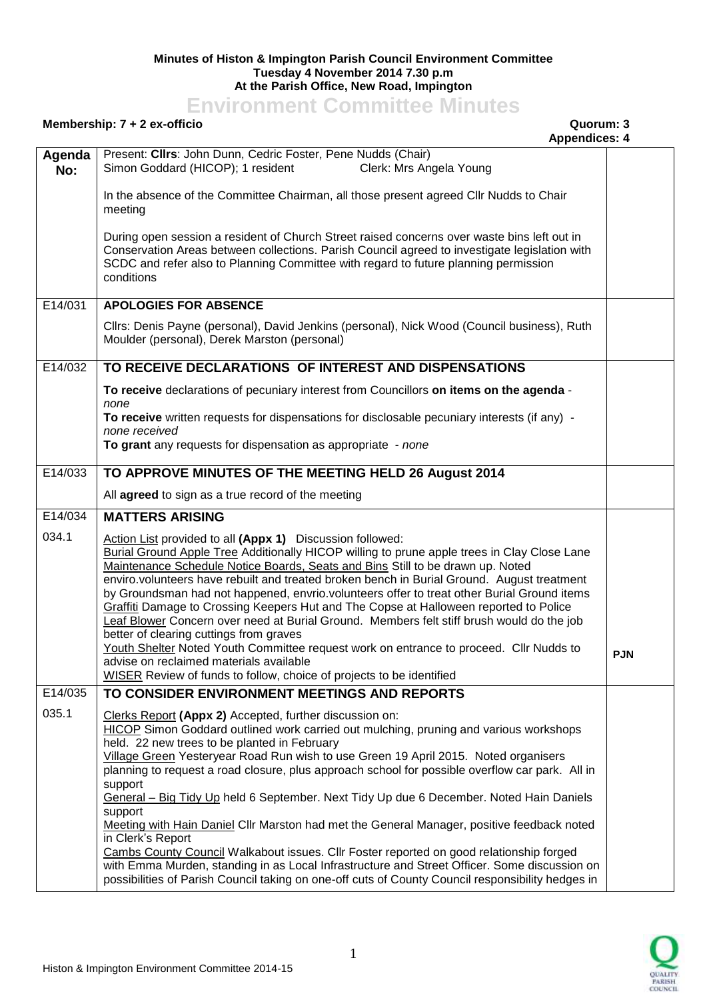## **Minutes of Histon & Impington Parish Council Environment Committee Tuesday 4 November 2014 7.30 p.m At the Parish Office, New Road, Impington**

## **Environment Committee Minutes**

## **Membership: 7 + 2 ex-officio Quorum: 3**

## **Appendices: 4**

|               | <b>Appendices: 4</b>                                                                                                                                                                                                                                                                                                                                                                                                                                                                                                                                                                                                                                                                                                                                                                                                                                                                 |            |
|---------------|--------------------------------------------------------------------------------------------------------------------------------------------------------------------------------------------------------------------------------------------------------------------------------------------------------------------------------------------------------------------------------------------------------------------------------------------------------------------------------------------------------------------------------------------------------------------------------------------------------------------------------------------------------------------------------------------------------------------------------------------------------------------------------------------------------------------------------------------------------------------------------------|------------|
| Agenda<br>No: | Present: Clirs: John Dunn, Cedric Foster, Pene Nudds (Chair)<br>Simon Goddard (HICOP); 1 resident<br>Clerk: Mrs Angela Young                                                                                                                                                                                                                                                                                                                                                                                                                                                                                                                                                                                                                                                                                                                                                         |            |
|               | In the absence of the Committee Chairman, all those present agreed Cllr Nudds to Chair<br>meeting                                                                                                                                                                                                                                                                                                                                                                                                                                                                                                                                                                                                                                                                                                                                                                                    |            |
|               | During open session a resident of Church Street raised concerns over waste bins left out in<br>Conservation Areas between collections. Parish Council agreed to investigate legislation with<br>SCDC and refer also to Planning Committee with regard to future planning permission<br>conditions                                                                                                                                                                                                                                                                                                                                                                                                                                                                                                                                                                                    |            |
| E14/031       | <b>APOLOGIES FOR ABSENCE</b>                                                                                                                                                                                                                                                                                                                                                                                                                                                                                                                                                                                                                                                                                                                                                                                                                                                         |            |
|               | Cllrs: Denis Payne (personal), David Jenkins (personal), Nick Wood (Council business), Ruth<br>Moulder (personal), Derek Marston (personal)                                                                                                                                                                                                                                                                                                                                                                                                                                                                                                                                                                                                                                                                                                                                          |            |
| E14/032       | TO RECEIVE DECLARATIONS OF INTEREST AND DISPENSATIONS                                                                                                                                                                                                                                                                                                                                                                                                                                                                                                                                                                                                                                                                                                                                                                                                                                |            |
|               | To receive declarations of pecuniary interest from Councillors on items on the agenda -<br>none                                                                                                                                                                                                                                                                                                                                                                                                                                                                                                                                                                                                                                                                                                                                                                                      |            |
|               | To receive written requests for dispensations for disclosable pecuniary interests (if any) -<br>none received                                                                                                                                                                                                                                                                                                                                                                                                                                                                                                                                                                                                                                                                                                                                                                        |            |
|               | To grant any requests for dispensation as appropriate - none                                                                                                                                                                                                                                                                                                                                                                                                                                                                                                                                                                                                                                                                                                                                                                                                                         |            |
| E14/033       | TO APPROVE MINUTES OF THE MEETING HELD 26 August 2014                                                                                                                                                                                                                                                                                                                                                                                                                                                                                                                                                                                                                                                                                                                                                                                                                                |            |
|               | All agreed to sign as a true record of the meeting                                                                                                                                                                                                                                                                                                                                                                                                                                                                                                                                                                                                                                                                                                                                                                                                                                   |            |
| E14/034       | <b>MATTERS ARISING</b>                                                                                                                                                                                                                                                                                                                                                                                                                                                                                                                                                                                                                                                                                                                                                                                                                                                               |            |
| 034.1         | Action List provided to all (Appx 1) Discussion followed:<br>Burial Ground Apple Tree Additionally HICOP willing to prune apple trees in Clay Close Lane<br>Maintenance Schedule Notice Boards, Seats and Bins Still to be drawn up. Noted<br>enviro.volunteers have rebuilt and treated broken bench in Burial Ground. August treatment<br>by Groundsman had not happened, envrio.volunteers offer to treat other Burial Ground items<br>Graffiti Damage to Crossing Keepers Hut and The Copse at Halloween reported to Police<br>Leaf Blower Concern over need at Burial Ground. Members felt stiff brush would do the job<br>better of clearing cuttings from graves<br>Youth Shelter Noted Youth Committee request work on entrance to proceed. Cllr Nudds to<br>advise on reclaimed materials available<br>WISER Review of funds to follow, choice of projects to be identified | <b>PJN</b> |
| E14/035       | TO CONSIDER ENVIRONMENT MEETINGS AND REPORTS                                                                                                                                                                                                                                                                                                                                                                                                                                                                                                                                                                                                                                                                                                                                                                                                                                         |            |
| 035.1         | Clerks Report (Appx 2) Accepted, further discussion on:<br>HICOP Simon Goddard outlined work carried out mulching, pruning and various workshops<br>held. 22 new trees to be planted in February<br>Village Green Yesteryear Road Run wish to use Green 19 April 2015. Noted organisers<br>planning to request a road closure, plus approach school for possible overflow car park. All in<br>support<br>General - Big Tidy Up held 6 September. Next Tidy Up due 6 December. Noted Hain Daniels<br>support<br>Meeting with Hain Daniel Cllr Marston had met the General Manager, positive feedback noted<br>in Clerk's Report<br>Cambs County Council Walkabout issues. Cllr Foster reported on good relationship forged<br>with Emma Murden, standing in as Local Infrastructure and Street Officer. Some discussion on                                                            |            |

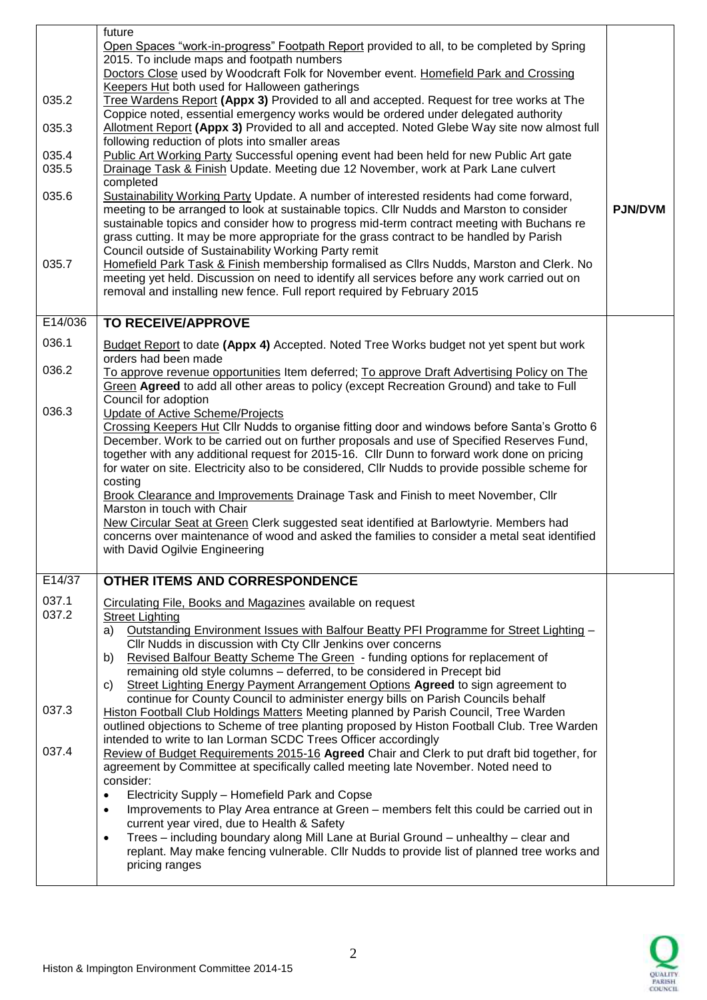|         | future                                                                                                                                                                            |                |
|---------|-----------------------------------------------------------------------------------------------------------------------------------------------------------------------------------|----------------|
|         | Open Spaces "work-in-progress" Footpath Report provided to all, to be completed by Spring                                                                                         |                |
|         | 2015. To include maps and footpath numbers                                                                                                                                        |                |
|         | Doctors Close used by Woodcraft Folk for November event. Homefield Park and Crossing                                                                                              |                |
|         | Keepers Hut both used for Halloween gatherings                                                                                                                                    |                |
| 035.2   | Tree Wardens Report (Appx 3) Provided to all and accepted. Request for tree works at The                                                                                          |                |
|         | Coppice noted, essential emergency works would be ordered under delegated authority                                                                                               |                |
| 035.3   | Allotment Report (Appx 3) Provided to all and accepted. Noted Glebe Way site now almost full                                                                                      |                |
| 035.4   | following reduction of plots into smaller areas<br>Public Art Working Party Successful opening event had been held for new Public Art gate                                        |                |
| 035.5   | Drainage Task & Finish Update. Meeting due 12 November, work at Park Lane culvert                                                                                                 |                |
|         | completed                                                                                                                                                                         |                |
| 035.6   | Sustainability Working Party Update. A number of interested residents had come forward,                                                                                           |                |
|         | meeting to be arranged to look at sustainable topics. Cllr Nudds and Marston to consider                                                                                          | <b>PJN/DVM</b> |
|         | sustainable topics and consider how to progress mid-term contract meeting with Buchans re                                                                                         |                |
|         | grass cutting. It may be more appropriate for the grass contract to be handled by Parish                                                                                          |                |
|         | Council outside of Sustainability Working Party remit                                                                                                                             |                |
| 035.7   | Homefield Park Task & Finish membership formalised as Cllrs Nudds, Marston and Clerk. No                                                                                          |                |
|         | meeting yet held. Discussion on need to identify all services before any work carried out on                                                                                      |                |
|         | removal and installing new fence. Full report required by February 2015                                                                                                           |                |
| E14/036 | <b>TO RECEIVE/APPROVE</b>                                                                                                                                                         |                |
|         |                                                                                                                                                                                   |                |
| 036.1   | Budget Report to date (Appx 4) Accepted. Noted Tree Works budget not yet spent but work<br>orders had been made                                                                   |                |
| 036.2   | To approve revenue opportunities Item deferred; To approve Draft Advertising Policy on The                                                                                        |                |
|         | Green Agreed to add all other areas to policy (except Recreation Ground) and take to Full                                                                                         |                |
| 036.3   | Council for adoption<br><b>Update of Active Scheme/Projects</b>                                                                                                                   |                |
|         | Crossing Keepers Hut Cllr Nudds to organise fitting door and windows before Santa's Grotto 6                                                                                      |                |
|         | December. Work to be carried out on further proposals and use of Specified Reserves Fund,                                                                                         |                |
|         | together with any additional request for 2015-16. Cllr Dunn to forward work done on pricing                                                                                       |                |
|         | for water on site. Electricity also to be considered, Cllr Nudds to provide possible scheme for                                                                                   |                |
|         | costing                                                                                                                                                                           |                |
|         | <b>Brook Clearance and Improvements Drainage Task and Finish to meet November, Cllr</b><br>Marston in touch with Chair                                                            |                |
|         | New Circular Seat at Green Clerk suggested seat identified at Barlowtyrie. Members had                                                                                            |                |
|         | concerns over maintenance of wood and asked the families to consider a metal seat identified                                                                                      |                |
|         | with David Ogilvie Engineering                                                                                                                                                    |                |
|         |                                                                                                                                                                                   |                |
| E14/37  | OTHER ITEMS AND CORRESPONDENCE                                                                                                                                                    |                |
| 037.1   | Circulating File, Books and Magazines available on request                                                                                                                        |                |
| 037.2   | <b>Street Lighting</b>                                                                                                                                                            |                |
|         | Outstanding Environment Issues with Balfour Beatty PFI Programme for Street Lighting -<br>a)                                                                                      |                |
|         | Cllr Nudds in discussion with Cty Cllr Jenkins over concerns<br>Revised Balfour Beatty Scheme The Green - funding options for replacement of<br>b)                                |                |
|         | remaining old style columns - deferred, to be considered in Precept bid                                                                                                           |                |
|         | Street Lighting Energy Payment Arrangement Options Agreed to sign agreement to<br>C)                                                                                              |                |
|         | continue for County Council to administer energy bills on Parish Councils behalf                                                                                                  |                |
| 037.3   | <b>Histon Football Club Holdings Matters Meeting planned by Parish Council, Tree Warden</b>                                                                                       |                |
|         | outlined objections to Scheme of tree planting proposed by Histon Football Club. Tree Warden                                                                                      |                |
|         | intended to write to Ian Lorman SCDC Trees Officer accordingly                                                                                                                    |                |
| 037.4   | Review of Budget Requirements 2015-16 Agreed Chair and Clerk to put draft bid together, for<br>agreement by Committee at specifically called meeting late November. Noted need to |                |
|         | consider:                                                                                                                                                                         |                |
|         | Electricity Supply - Homefield Park and Copse<br>$\bullet$                                                                                                                        |                |
|         | Improvements to Play Area entrance at Green - members felt this could be carried out in<br>$\bullet$                                                                              |                |
|         | current year vired, due to Health & Safety                                                                                                                                        |                |
|         | Trees - including boundary along Mill Lane at Burial Ground - unhealthy - clear and<br>$\bullet$                                                                                  |                |
|         | replant. May make fencing vulnerable. Cllr Nudds to provide list of planned tree works and                                                                                        |                |
|         | pricing ranges                                                                                                                                                                    |                |
|         |                                                                                                                                                                                   |                |